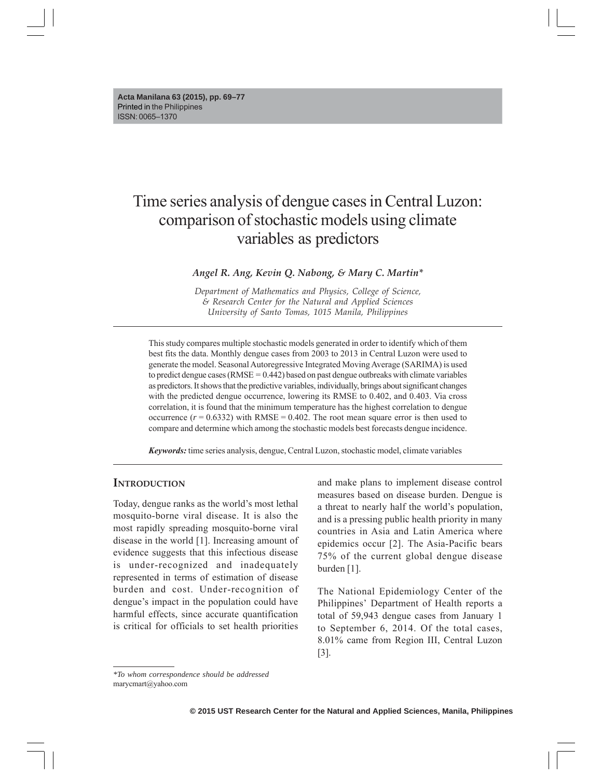# Time series analysis of dengue cases in Central Luzon: comparison of stochastic models using climate variables as predictors

*Angel R. Ang, Kevin Q. Nabong, & Mary C. Martin\**

*Department of Mathematics and Physics, College of Science, & Research Center for the Natural and Applied Sciences University of Santo Tomas, 1015 Manila, Philippines*

This study compares multiple stochastic models generated in order to identify which of them best fits the data. Monthly dengue cases from 2003 to 2013 in Central Luzon were used to generate the model. Seasonal Autoregressive Integrated Moving Average (SARIMA) is used to predict dengue cases ( $RMSE = 0.442$ ) based on past dengue outbreaks with climate variables as predictors. It shows that the predictive variables, individually, brings about significant changes with the predicted dengue occurrence, lowering its RMSE to 0.402, and 0.403. Via cross correlation, it is found that the minimum temperature has the highest correlation to dengue occurrence  $(r = 0.6332)$  with RMSE = 0.402. The root mean square error is then used to compare and determine which among the stochastic models best forecasts dengue incidence.

*Keywords:* time series analysis, dengue, Central Luzon, stochastic model, climate variables

### **INTRODUCTION**

Today, dengue ranks as the world's most lethal mosquito-borne viral disease. It is also the most rapidly spreading mosquito-borne viral disease in the world [1]. Increasing amount of evidence suggests that this infectious disease is under-recognized and inadequately represented in terms of estimation of disease burden and cost. Under-recognition of dengue's impact in the population could have harmful effects, since accurate quantification is critical for officials to set health priorities

and make plans to implement disease control measures based on disease burden. Dengue is a threat to nearly half the world's population, and is a pressing public health priority in many countries in Asia and Latin America where epidemics occur [2]. The Asia-Pacific bears 75% of the current global dengue disease burden [1].

The National Epidemiology Center of the Philippines' Department of Health reports a total of 59,943 dengue cases from January 1 to September 6, 2014. Of the total cases, 8.01% came from Region III, Central Luzon [3].

*<sup>\*</sup>To whom correspondence should be addressed* marycmart@yahoo.com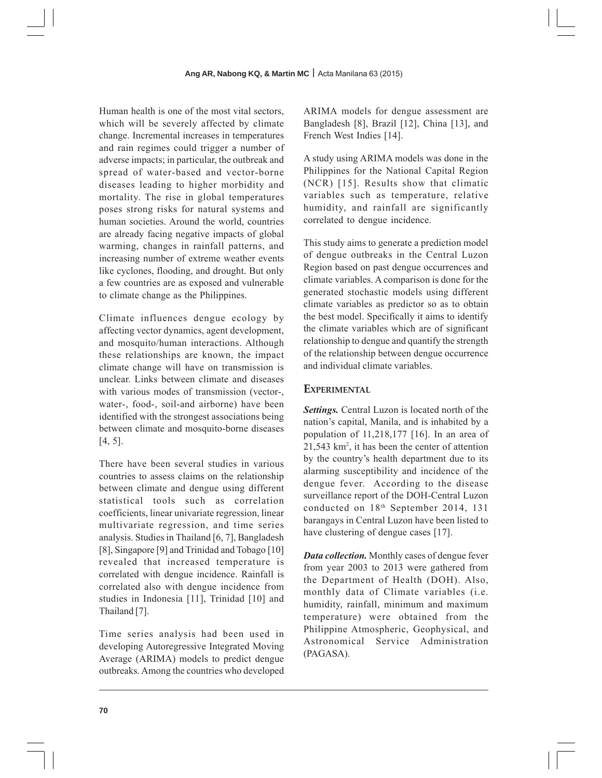Human health is one of the most vital sectors, which will be severely affected by climate change. Incremental increases in temperatures and rain regimes could trigger a number of adverse impacts; in particular, the outbreak and spread of water-based and vector-borne diseases leading to higher morbidity and mortality. The rise in global temperatures poses strong risks for natural systems and human societies. Around the world, countries are already facing negative impacts of global warming, changes in rainfall patterns, and increasing number of extreme weather events like cyclones, flooding, and drought. But only a few countries are as exposed and vulnerable to climate change as the Philippines.

Climate influences dengue ecology by affecting vector dynamics, agent development, and mosquito/human interactions. Although these relationships are known, the impact climate change will have on transmission is unclear. Links between climate and diseases with various modes of transmission (vector-, water-, food-, soil-and airborne) have been identified with the strongest associations being between climate and mosquito-borne diseases [4, 5].

There have been several studies in various countries to assess claims on the relationship between climate and dengue using different statistical tools such as correlation coefficients, linear univariate regression, linear multivariate regression, and time series analysis. Studies in Thailand [6, 7], Bangladesh [8], Singapore [9] and Trinidad and Tobago [10] revealed that increased temperature is correlated with dengue incidence. Rainfall is correlated also with dengue incidence from studies in Indonesia [11], Trinidad [10] and Thailand [7].

Time series analysis had been used in developing Autoregressive Integrated Moving Average (ARIMA) models to predict dengue outbreaks. Among the countries who developed ARIMA models for dengue assessment are Bangladesh [8], Brazil [12], China [13], and French West Indies [14].

A study using ARIMA models was done in the Philippines for the National Capital Region (NCR) [15]. Results show that climatic variables such as temperature, relative humidity, and rainfall are significantly correlated to dengue incidence.

This study aims to generate a prediction model of dengue outbreaks in the Central Luzon Region based on past dengue occurrences and climate variables. A comparison is done for the generated stochastic models using different climate variables as predictor so as to obtain the best model. Specifically it aims to identify the climate variables which are of significant relationship to dengue and quantify the strength of the relationship between dengue occurrence and individual climate variables.

# **EXPERIMENTAL**

*Settings.* Central Luzon is located north of the nation's capital, Manila, and is inhabited by a population of 11,218,177 [16]. In an area of 21,543 km2 , it has been the center of attention by the country's health department due to its alarming susceptibility and incidence of the dengue fever. According to the disease surveillance report of the DOH-Central Luzon conducted on 18th September 2014, 131 barangays in Central Luzon have been listed to have clustering of dengue cases [17].

*Data collection.* Monthly cases of dengue fever from year 2003 to 2013 were gathered from the Department of Health (DOH). Also, monthly data of Climate variables (i.e. humidity, rainfall, minimum and maximum temperature) were obtained from the Philippine Atmospheric, Geophysical, and Astronomical Service Administration (PAGASA).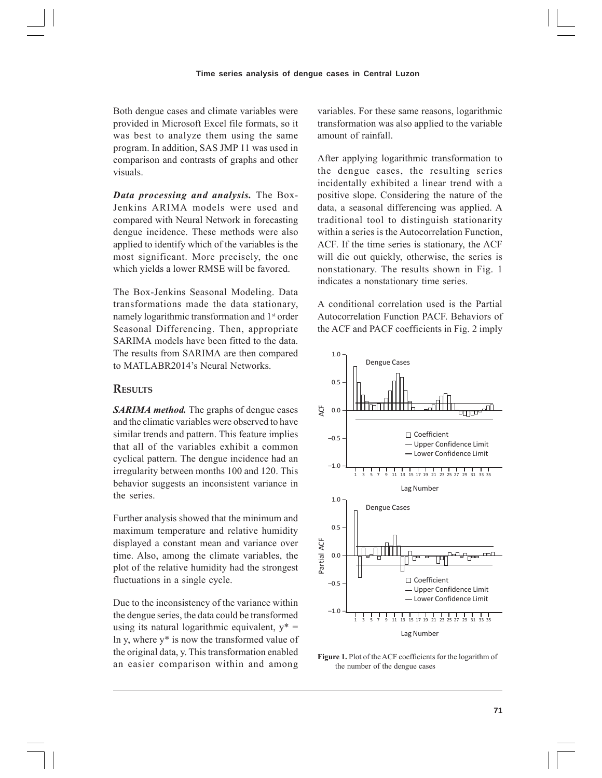Both dengue cases and climate variables were provided in Microsoft Excel file formats, so it was best to analyze them using the same program. In addition, SAS JMP 11 was used in comparison and contrasts of graphs and other visuals.

*Data processing and analysis.* The Box-Jenkins ARIMA models were used and compared with Neural Network in forecasting dengue incidence. These methods were also applied to identify which of the variables is the most significant. More precisely, the one which yields a lower RMSE will be favored.

The Box-Jenkins Seasonal Modeling. Data transformations made the data stationary, namely logarithmic transformation and 1<sup>st</sup> order Seasonal Differencing. Then, appropriate SARIMA models have been fitted to the data. The results from SARIMA are then compared to MATLABR2014's Neural Networks.

# **RESULTS**

*SARIMA method.* The graphs of dengue cases and the climatic variables were observed to have similar trends and pattern. This feature implies that all of the variables exhibit a common cyclical pattern. The dengue incidence had an irregularity between months 100 and 120. This behavior suggests an inconsistent variance in the series.

Further analysis showed that the minimum and maximum temperature and relative humidity displayed a constant mean and variance over time. Also, among the climate variables, the plot of the relative humidity had the strongest fluctuations in a single cycle.

Due to the inconsistency of the variance within the dengue series, the data could be transformed using its natural logarithmic equivalent,  $y^* =$ ln y, where y\* is now the transformed value of the original data, y. This transformation enabled an easier comparison within and among variables. For these same reasons, logarithmic transformation was also applied to the variable amount of rainfall.

After applying logarithmic transformation to the dengue cases, the resulting series incidentally exhibited a linear trend with a positive slope. Considering the nature of the data, a seasonal differencing was applied. A traditional tool to distinguish stationarity within a series is the Autocorrelation Function, ACF. If the time series is stationary, the ACF will die out quickly, otherwise, the series is nonstationary. The results shown in Fig. 1 indicates a nonstationary time series.

A conditional correlation used is the Partial Autocorrelation Function PACF. Behaviors of the ACF and PACF coefficients in Fig. 2 imply



**Figure 1.** Plot of the ACF coefficients for the logarithm of the number of the dengue cases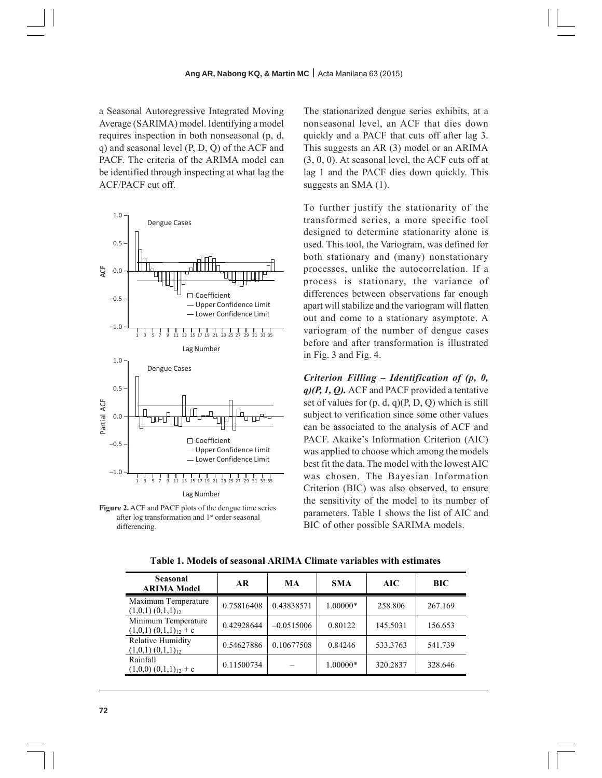a Seasonal Autoregressive Integrated Moving Average (SARIMA) model. Identifying a model requires inspection in both nonseasonal (p, d, q) and seasonal level (P, D, Q) of the ACF and PACF. The criteria of the ARIMA model can be identified through inspecting at what lag the ACF/PACF cut off.



**Figure 2.** ACF and PACF plots of the dengue time series after log transformation and 1<sup>st</sup> order seasonal differencing.

The stationarized dengue series exhibits, at a nonseasonal level, an ACF that dies down quickly and a PACF that cuts off after lag 3. This suggests an AR (3) model or an ARIMA (3, 0, 0). At seasonal level, the ACF cuts off at lag 1 and the PACF dies down quickly. This suggests an SMA (1).

To further justify the stationarity of the transformed series, a more specific tool designed to determine stationarity alone is used. This tool, the Variogram, was defined for both stationary and (many) nonstationary processes, unlike the autocorrelation. If a process is stationary, the variance of differences between observations far enough apart will stabilize and the variogram will flatten out and come to a stationary asymptote. A variogram of the number of dengue cases before and after transformation is illustrated in Fig. 3 and Fig. 4.

*Criterion Filling – Identification of (p, 0, q)(P, 1, Q).* ACF and PACF provided a tentative set of values for  $(p, d, q)(P, D, Q)$  which is still subject to verification since some other values can be associated to the analysis of ACF and PACF. Akaike's Information Criterion (AIC) was applied to choose which among the models best fit the data. The model with the lowest AIC was chosen. The Bayesian Information Criterion (BIC) was also observed, to ensure the sensitivity of the model to its number of parameters. Table 1 shows the list of AIC and BIC of other possible SARIMA models.

| <b>Seasonal</b><br><b>ARIMA Model</b>         | AR.        | MA           | <b>SMA</b> | AIC      | BIC     |
|-----------------------------------------------|------------|--------------|------------|----------|---------|
| Maximum Temperature<br>$(1,0,1)(0,1,1)_{12}$  | 0.75816408 | 0.43838571   | 1.00000*   | 258.806  | 267.169 |
| Minimum Temperature<br>$(1,0,1)(0,1,1)12 + c$ | 0.42928644 | $-0.0515006$ | 0.80122    | 145.5031 | 156.653 |
| Relative Humidity<br>$(1,0,1)(0,1,1)_{12}$    | 0.54627886 | 0.10677508   | 0.84246    | 533.3763 | 541.739 |
| Rainfall<br>$(1,0,0)$ $(0,1,1)_{12}$ + c      | 0.11500734 |              | 1.00000*   | 320.2837 | 328.646 |

**Table 1. Models of seasonal ARIMA Climate variables with estimates**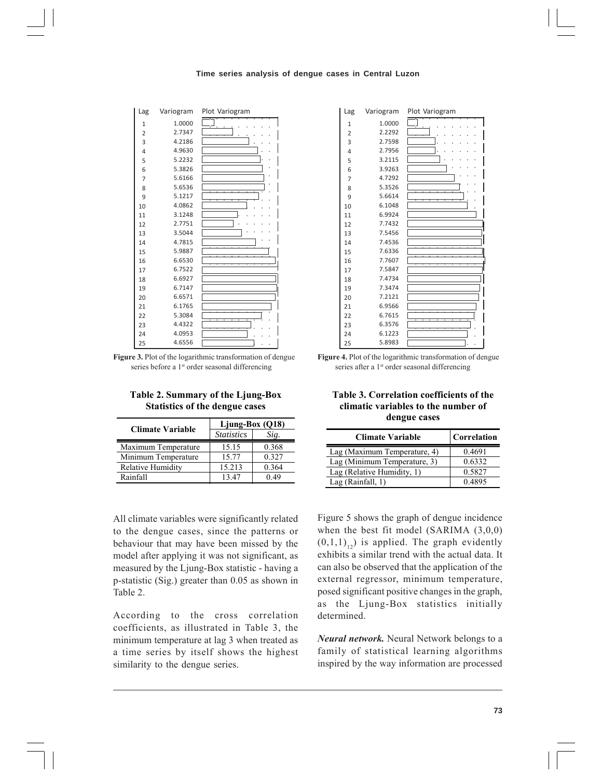#### **Time series analysis of dengue cases in Central Luzon**



**Figure 3.** Plot of the logarithmic transformation of dengue series before a 1<sup>st</sup> order seasonal differencing

| Table 2. Summary of the Ljung-Box     |  |
|---------------------------------------|--|
| <b>Statistics of the dengue cases</b> |  |

| <b>Climate Variable</b> | Ljung-Box $(Q18)$ |       |  |
|-------------------------|-------------------|-------|--|
|                         | <b>Statistics</b> | Sig.  |  |
| Maximum Temperature     | 15.15             | 0.368 |  |
| Minimum Temperature     | 15.77             | 0.327 |  |
| Relative Humidity       | 15.213            | 0.364 |  |
| Rainfall                | 1347              | ) 49  |  |

All climate variables were significantly related to the dengue cases, since the patterns or behaviour that may have been missed by the model after applying it was not significant, as measured by the Ljung-Box statistic - having a p-statistic (Sig.) greater than 0.05 as shown in Table 2.

According to the cross correlation coefficients, as illustrated in Table 3, the minimum temperature at lag 3 when treated as a time series by itself shows the highest similarity to the dengue series.

| Lag            | Variogram | Plot Variogram |
|----------------|-----------|----------------|
| 1              | 1.0000    |                |
| $\overline{2}$ | 2.2292    |                |
| 3              | 2.7598    |                |
| 4              | 2.7956    |                |
| 5              | 3.2115    |                |
| 6              | 3.9263    |                |
| 7              | 4.7292    |                |
| 8              | 5.3526    |                |
| 9              | 5.6614    |                |
| 10             | 6.1048    |                |
| 11             | 6.9924    |                |
| 12             | 7.7432    |                |
| 13             | 7.5456    |                |
| 14             | 7.4536    |                |
| 15             | 7.6336    |                |
| 16             | 7.7607    |                |
| 17             | 7.5847    |                |
| 18             | 7.4734    |                |
| 19             | 7.3474    |                |
| 20             | 7.2121    |                |
| 21             | 6.9566    |                |
| 22             | 6.7615    |                |
| 23             | 6.3576    |                |
| 24             | 6.1223    |                |
| 25             | 5.8983    |                |

**Figure 4.** Plot of the logarithmic transformation of dengue series after a 1<sup>st</sup> order seasonal differencing

**Table 3. Correlation coefficients of the climatic variables to the number of dengue cases** 

| <b>Climate Variable</b>      | Correlation |
|------------------------------|-------------|
| Lag (Maximum Temperature, 4) | 0.4691      |
| Lag (Minimum Temperature, 3) | 0.6332      |
| Lag (Relative Humidity, 1)   | 0.5827      |
| Lag (Rainfall, 1)            | 04895       |

Figure 5 shows the graph of dengue incidence when the best fit model (SARIMA (3,0,0)  $(0,1,1)_{12}$ ) is applied. The graph evidently exhibits a similar trend with the actual data. It can also be observed that the application of the external regressor, minimum temperature, posed significant positive changes in the graph, as the Ljung-Box statistics initially determined.

*Neural network.* Neural Network belongs to a family of statistical learning algorithms inspired by the way information are processed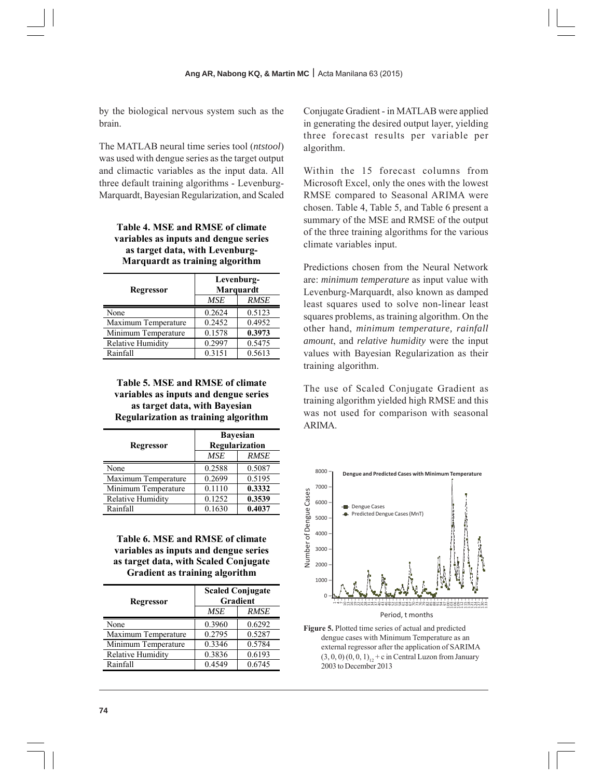by the biological nervous system such as the brain.

The MATLAB neural time series tool (*ntstool*) was used with dengue series as the target output and climactic variables as the input data. All three default training algorithms - Levenburg-Marquardt, Bayesian Regularization, and Scaled

# **Table 4. MSE and RMSE of climate variables as inputs and dengue series as target data, with Levenburg-Marquardt as training algorithm**

| Regressor                | Levenburg-<br><b>Marquardt</b> |             |  |
|--------------------------|--------------------------------|-------------|--|
|                          | <b>MSE</b>                     | <b>RMSE</b> |  |
| None                     | 0.2624                         | 0.5123      |  |
| Maximum Temperature      | 0.2452                         | 0.4952      |  |
| Minimum Temperature      | 0.1578                         | 0.3973      |  |
| <b>Relative Humidity</b> | 0.2997                         | 0.5475      |  |
| Rainfall                 | 0.3151                         | 0.5613      |  |

**Table 5. MSE and RMSE of climate variables as inputs and dengue series as target data, with Bayesian Regularization as training algorithm** 

| Regressor           | <b>Bayesian</b><br>Regularization |             |  |
|---------------------|-----------------------------------|-------------|--|
|                     | <b>MSE</b>                        | <b>RMSE</b> |  |
| None                | 0.2588                            | 0.5087      |  |
| Maximum Temperature | 0.2699                            | 0.5195      |  |
| Minimum Temperature | 0.1110                            | 0.3332      |  |
| Relative Humidity   | 0.1252                            | 0.3539      |  |
| Rainfall            | 0.1630                            | 0.4037      |  |

**Table 6. MSE and RMSE of climate variables as inputs and dengue series as target data, with Scaled Conjugate Gradient as training algorithm** 

| Regressor           | <b>Scaled Conjugate</b><br>Gradient |             |  |
|---------------------|-------------------------------------|-------------|--|
|                     | MSE                                 | <b>RMSE</b> |  |
| None                | 0.3960                              | 0.6292      |  |
| Maximum Temperature | 0.2795                              | 0.5287      |  |
| Minimum Temperature | 0.3346                              | 0.5784      |  |
| Relative Humidity   | 0.3836                              | 0.6193      |  |
| Rainfall            | 0.4549                              | 0.6745      |  |

Conjugate Gradient - in MATLAB were applied in generating the desired output layer, yielding three forecast results per variable per algorithm.

Within the 15 forecast columns from Microsoft Excel, only the ones with the lowest RMSE compared to Seasonal ARIMA were chosen. Table 4, Table 5, and Table 6 present a summary of the MSE and RMSE of the output of the three training algorithms for the various climate variables input.

Predictions chosen from the Neural Network are: *minimum temperature* as input value with Levenburg-Marquardt, also known as damped least squares used to solve non-linear least squares problems, as training algorithm. On the other hand, *minimum temperature, rainfall amount*, and *relative humidity* were the input values with Bayesian Regularization as their training algorithm.

The use of Scaled Conjugate Gradient as training algorithm yielded high RMSE and this was not used for comparison with seasonal ARIMA.



**Figure 5.** Plotted time series of actual and predicted dengue cases with Minimum Temperature as an external regressor after the application of SARIMA  $(3, 0, 0)$   $(0, 0, 1)_{12}$  + c in Central Luzon from January 2003 to December 2013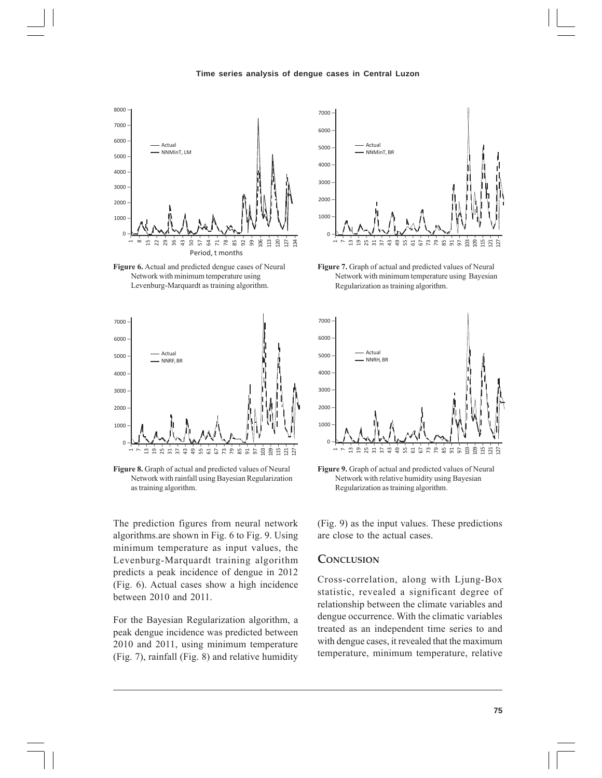

**Figure 6.** Actual and predicted dengue cases of Neural Network with minimum temperature using Levenburg-Marquardt as training algorithm.



**Figure 8.** Graph of actual and predicted values of Neural Network with rainfall using Bayesian Regularization as training algorithm.

The prediction figures from neural network algorithms.are shown in Fig. 6 to Fig. 9. Using minimum temperature as input values, the Levenburg-Marquardt training algorithm predicts a peak incidence of dengue in 2012 (Fig. 6). Actual cases show a high incidence between 2010 and 2011.

For the Bayesian Regularization algorithm, a peak dengue incidence was predicted between 2010 and 2011, using minimum temperature (Fig. 7), rainfall (Fig. 8) and relative humidity



**Figure 7.** Graph of actual and predicted values of Neural Network with minimum temperature using Bayesian Regularization as training algorithm.



**Figure 9.** Graph of actual and predicted values of Neural Network with relative humidity using Bayesian Regularization as training algorithm.

(Fig. 9) as the input values. These predictions are close to the actual cases.

### **CONCLUSION**

Cross-correlation, along with Ljung-Box statistic, revealed a significant degree of relationship between the climate variables and dengue occurrence. With the climatic variables treated as an independent time series to and with dengue cases, it revealed that the maximum temperature, minimum temperature, relative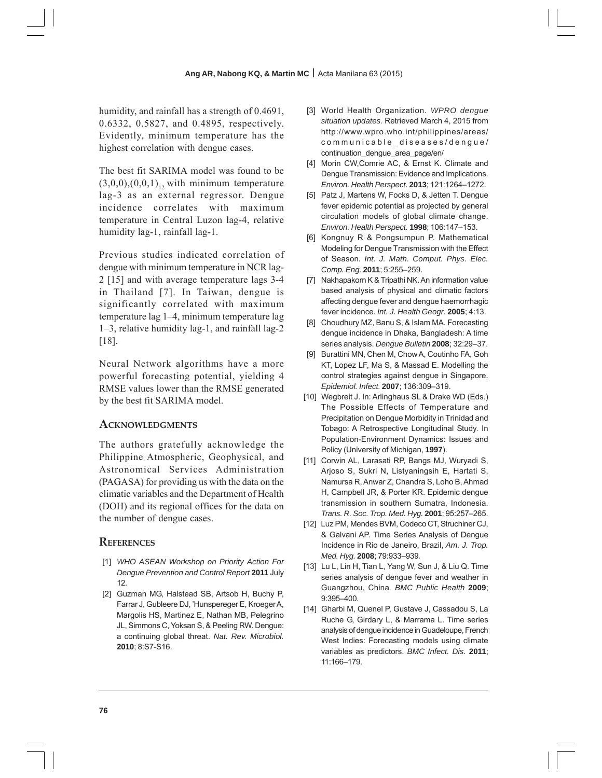humidity, and rainfall has a strength of 0.4691, 0.6332, 0.5827, and 0.4895, respectively. Evidently, minimum temperature has the highest correlation with dengue cases.

The best fit SARIMA model was found to be  $(3,0,0),(0,0,1)$ <sub>12</sub> with minimum temperature lag-3 as an external regressor. Dengue incidence correlates with maximum temperature in Central Luzon lag-4, relative humidity lag-1, rainfall lag-1.

Previous studies indicated correlation of dengue with minimum temperature in NCR lag-2 [15] and with average temperature lags 3-4 in Thailand [7]. In Taiwan, dengue is significantly correlated with maximum temperature lag 1–4, minimum temperature lag 1–3, relative humidity lag-1, and rainfall lag-2 [18].

Neural Network algorithms have a more powerful forecasting potential, yielding 4 RMSE values lower than the RMSE generated by the best fit SARIMA model.

# **ACKNOWLEDGMENTS**

The authors gratefully acknowledge the Philippine Atmospheric, Geophysical, and Astronomical Services Administration (PAGASA) for providing us with the data on the climatic variables and the Department of Health (DOH) and its regional offices for the data on the number of dengue cases.

# **REFERENCES**

- [1] *WHO ASEAN Workshop on Priority Action For Dengue Prevention and Control Report* **2011** July 12.
- [2] Guzman MG, Halstead SB, Artsob H, Buchy P, Farrar J, Gubleere DJ, 'Hunspereger E, Kroeger A, Margolis HS, Martinez E, Nathan MB, Pelegrino JL, Simmons C, Yoksan S, & Peeling RW. Dengue: a continuing global threat. *Nat. Rev. Microbiol.* **2010**; 8:S7-S16.
- [3] World Health Organization. *WPRO dengue situation updates.* Retrieved March 4, 2015 from http://www.wpro.who.int/philippines/areas/ communicable\_diseases/dengue/ continuation dengue area page/en/
- [4] Morin CW,Comrie AC, & Ernst K. Climate and Dengue Transmission: Evidence and Implications. *Environ. Health Perspect.* **2013**; 121:1264–1272.
- [5] Patz J, Martens W, Focks D, & Jetten T. Dengue fever epidemic potential as projected by general circulation models of global climate change. *Environ. Health Perspect.* **1998**; 106:147–153.
- [6] Kongnuy R & Pongsumpun P. Mathematical Modeling for Dengue Transmission with the Effect of Season*. Int. J. Math. Comput. Phys. Elec. Comp. Eng.* **2011**; 5:255–259.
- [7] Nakhapakorn K & Tripathi NK. An information value based analysis of physical and climatic factors affecting dengue fever and dengue haemorrhagic fever incidence. *Int. J. Health Geogr.* **2005**; 4:13.
- [8] Choudhury MZ, Banu S, & Islam MA. Forecasting dengue incidence in Dhaka, Bangladesh: A time series analysis. *Dengue Bulletin* **2008**; 32:29–37.
- [9] Burattini MN, Chen M, Chow A, Coutinho FA, Goh KT, Lopez LF, Ma S, & Massad E. Modelling the control strategies against dengue in Singapore. *Epidemiol. Infect.* **2007**; 136:309–319.
- [10] Wegbreit J. In: Arlinghaus SL & Drake WD (Eds.) The Possible Effects of Temperature and Precipitation on Dengue Morbidity in Trinidad and Tobago: A Retrospective Longitudinal Study. In Population-Environment Dynamics: Issues and Policy (University of Michigan, **1997**).
- [11] Corwin AL, Larasati RP, Bangs MJ, Wuryadi S, Arjoso S, Sukri N, Listyaningsih E, Hartati S, Namursa R, Anwar Z, Chandra S, Loho B, Ahmad H, Campbell JR, & Porter KR. Epidemic dengue transmission in southern Sumatra, Indonesia. *Trans. R. Soc. Trop. Med. Hyg.* **2001**; 95:257–265.
- [12] Luz PM, Mendes BVM, Codeco CT, Struchiner CJ, & Galvani AP. Time Series Analysis of Dengue Incidence in Rio de Janeiro, Brazil, *Am. J. Trop. Med. Hyg.* **2008**; 79:933–939*.*
- [13] Lu L, Lin H, Tian L, Yang W, Sun J, & Liu Q. Time series analysis of dengue fever and weather in Guangzhou, China*. BMC Public Health* **2009**; 9:395–400.
- [14] Gharbi M, Quenel P, Gustave J, Cassadou S, La Ruche G, Girdary L, & Marrama L. Time series analysis of dengue incidence in Guadeloupe, French West Indies: Forecasting models using climate variables as predictors. *BMC Infect. Dis.* **2011**; 11:166–179.